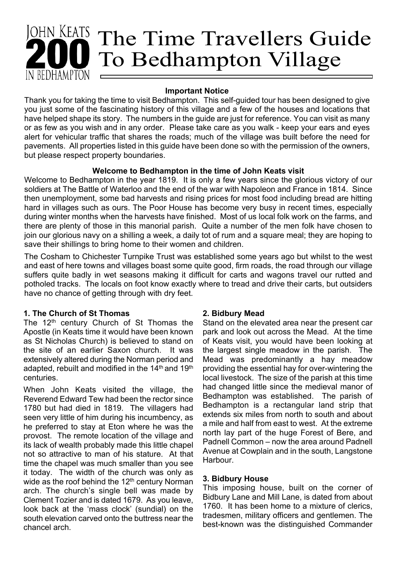# Iohn Keats The Time Travellers Guide To Bedhampton Village **BEDHAMPTON**

### **Important Notice**

Thank you for taking the time to visit Bedhampton. This self-guided tour has been designed to give you just some of the fascinating history of this village and a few of the houses and locations that have helped shape its story. The numbers in the guide are just for reference. You can visit as many or as few as you wish and in any order. Please take care as you walk - keep your ears and eyes alert for vehicular traffic that shares the roads; much of the village was built before the need for pavements. All properties listed in this guide have been done so with the permission of the owners, but please respect property boundaries.

# **Welcome to Bedhampton in the time of John Keats visit**

Welcome to Bedhampton in the year 1819. It is only a few years since the glorious victory of our soldiers at The Battle of Waterloo and the end of the war with Napoleon and France in 1814. Since then unemployment, some bad harvests and rising prices for most food including bread are hitting hard in villages such as ours. The Poor House has become very busy in recent times, especially during winter months when the harvests have finished. Most of us local folk work on the farms, and there are plenty of those in this manorial parish. Quite a number of the men folk have chosen to join our glorious navy on a shilling a week, a daily tot of rum and a square meal; they are hoping to save their shillings to bring home to their women and children.

The Cosham to Chichester Turnpike Trust was established some years ago but whilst to the west and east of here towns and villages boast some quite good, firm roads, the road through our village suffers quite badly in wet seasons making it difficult for carts and wagons travel our rutted and potholed tracks. The locals on foot know exactly where to tread and drive their carts, but outsiders have no chance of getting through with dry feet.

# **1. The Church of St Thomas**

The 12<sup>th</sup> century Church of St Thomas the Apostle (in Keats time it would have been known as St Nicholas Church) is believed to stand on the site of an earlier Saxon church. It was extensively altered during the Norman period and adapted, rebuilt and modified in the 14<sup>th</sup> and 19<sup>th</sup> centuries.

When John Keats visited the village, the Reverend Edward Tew had been the rector since 1780 but had died in 1819. The villagers had seen very little of him during his incumbency, as he preferred to stay at Eton where he was the provost. The remote location of the village and its lack of wealth probably made this little chapel not so attractive to man of his stature. At that time the chapel was much smaller than you see it today. The width of the church was only as wide as the roof behind the  $12<sup>th</sup>$  century Norman arch. The church's single bell was made by Clement Tozier and is dated 1679. As you leave, look back at the 'mass clock' (sundial) on the south elevation carved onto the buttress near the chancel arch.

# **2. Bidbury Mead**

Stand on the elevated area near the present car park and look out across the Mead. At the time of Keats visit, you would have been looking at the largest single meadow in the parish. The Mead was predominantly a hay meadow providing the essential hay for over-wintering the local livestock. The size of the parish at this time had changed little since the medieval manor of Bedhampton was established. The parish of Bedhampton is a rectangular land strip that extends six miles from north to south and about a mile and half from east to west. At the extreme north lay part of the huge Forest of Bere, and Padnell Common – now the area around Padnell Avenue at Cowplain and in the south, Langstone Harbour.

### **3. Bidbury House**

This imposing house, built on the corner of Bidbury Lane and Mill Lane, is dated from about 1760. It has been home to a mixture of clerics, tradesmen, military officers and gentlemen. The best-known was the distinguished Commander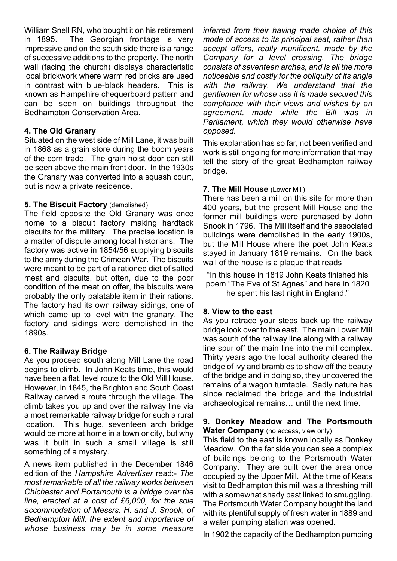William Snell RN, who bought it on his retirement in 1895. The Georgian frontage is very impressive and on the south side there is a range of successive additions to the property. The north wall (facing the church) displays characteristic local brickwork where warm red bricks are used in contrast with blue-black headers. This is known as Hampshire chequerboard pattern and can be seen on buildings throughout the Bedhampton Conservation Area.

## **4. The Old Granary**

Situated on the west side of Mill Lane, it was built in 1868 as a grain store during the boom years of the corn trade. The grain hoist door can still be seen above the main front door. In the 1930s the Granary was converted into a squash court, but is now a private residence.

## **5. The Biscuit Factory** (demolished)

The field opposite the Old Granary was once home to a biscuit factory making hardtack biscuits for the military. The precise location is a matter of dispute among local historians. The factory was active in 1854/56 supplying biscuits to the army during the Crimean War. The biscuits were meant to be part of a rationed diet of salted meat and biscuits, but often, due to the poor condition of the meat on offer, the biscuits were probably the only palatable item in their rations. The factory had its own railway sidings, one of which came up to level with the granary. The factory and sidings were demolished in the 1890s.

### **6. The Railway Bridge**

As you proceed south along Mill Lane the road begins to climb. In John Keats time, this would have been a flat, level route to the Old Mill House. However, in 1845, the Brighton and South Coast Railway carved a route through the village. The climb takes you up and over the railway line via a most remarkable railway bridge for such a rural location. This huge, seventeen arch bridge would be more at home in a town or city, but why was it built in such a small village is still something of a mystery.

A news item published in the December 1846 edition of the *Hampshire Advertiser* read:- *The most remarkable of all the railway works between Chichester and Portsmouth is a bridge over the line, erected at a cost of £6,000, for the sole accommodation of Messrs. H. and J. Snook, of Bedhampton Mill, the extent and importance of whose business may be in some measure*

*inferred from their having made choice of this mode of access to its principal seat, rather than accept offers, really munificent, made by the Company for a level crossing. The bridge consists of seventeen arches, and is all the more noticeable and costly for the obliquity of its angle with the railway. We understand that the gentlemen for whose use it is made secured this compliance with their views and wishes by an agreement, made while the Bill was in Parliament, which they would otherwise have opposed.*

This explanation has so far, not been verified and work is still ongoing for more information that may tell the story of the great Bedhampton railway bridge.

### **7. The Mill House** (Lower Mill)

There has been a mill on this site for more than 400 years, but the present Mill House and the former mill buildings were purchased by John Snook in 1796. The Mill itself and the associated buildings were demolished in the early 1900s, but the Mill House where the poet John Keats stayed in January 1819 remains. On the back wall of the house is a plaque that reads

"In this house in 1819 John Keats finished his poem "The Eve of St Agnes" and here in 1820 he spent his last night in England."

### **8. View to the east**

As you retrace your steps back up the railway bridge look over to the east. The main Lower Mill was south of the railway line along with a railway line spur off the main line into the mill complex. Thirty years ago the local authority cleared the bridge of ivy and brambles to show off the beauty of the bridge and in doing so, they uncovered the remains of a wagon turntable. Sadly nature has since reclaimed the bridge and the industrial archaeological remains… until the next time.

### **9. Donkey Meadow and The Portsmouth Water Company** (no access, view only)

This field to the east is known locally as Donkey Meadow. On the far side you can see a complex of buildings belong to the Portsmouth Water Company. They are built over the area once occupied by the Upper Mill. At the time of Keats visit to Bedhampton this mill was a threshing mill with a somewhat shady past linked to smuggling. The Portsmouth Water Company bought the land with its plentiful supply of fresh water in 1889 and a water pumping station was opened.

In 1902 the capacity of the Bedhampton pumping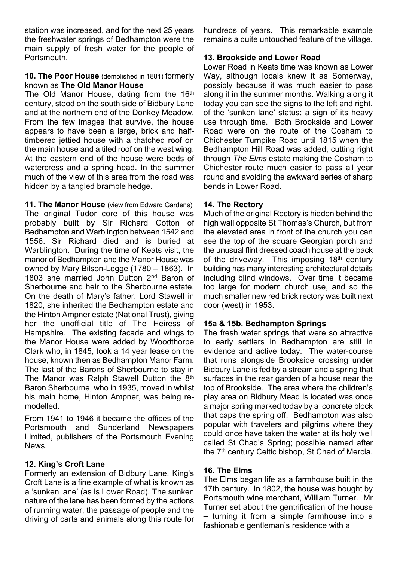station was increased, and for the next 25 years the freshwater springs of Bedhampton were the main supply of fresh water for the people of Portsmouth.

#### **10. The Poor House** (demolished in 1881) formerly known as **The Old Manor House**

The Old Manor House, dating from the 16<sup>th</sup> century, stood on the south side of Bidbury Lane and at the northern end of the Donkey Meadow. From the few images that survive, the house appears to have been a large, brick and halftimbered jettied house with a thatched roof on the main house and a tiled roof on the west wing. At the eastern end of the house were beds of watercress and a spring head. In the summer much of the view of this area from the road was hidden by a tangled bramble hedge.

**11. The Manor House** (view from Edward Gardens) The original Tudor core of this house was probably built by Sir Richard Cotton of Bedhampton and Warblington between 1542 and 1556. Sir Richard died and is buried at Warblington. During the time of Keats visit, the manor of Bedhampton and the Manor House was owned by Mary Bilson-Legge (1780 – 1863). In 1803 she married John Dutton 2<sup>nd</sup> Baron of Sherbourne and heir to the Sherbourne estate. On the death of Mary's father, Lord Stawell in 1820, she inherited the Bedhampton estate and the Hinton Ampner estate (National Trust), giving her the unofficial title of The Heiress of Hampshire. The existing facade and wings to the Manor House were added by Woodthorpe Clark who, in 1845, took a 14 year lease on the house, known then as Bedhampton Manor Farm. The last of the Barons of Sherbourne to stay in The Manor was Ralph Stawell Dutton the 8<sup>th</sup> Baron Sherbourne, who in 1935, moved in whilst his main home, Hinton Ampner, was being remodelled.

From 1941 to 1946 it became the offices of the Portsmouth and Sunderland Newspapers Limited, publishers of the Portsmouth Evening News.

### **12. King's Croft Lane**

Formerly an extension of Bidbury Lane, King's Croft Lane is a fine example of what is known as a 'sunken lane' (as is Lower Road). The sunken nature of the lane has been formed by the actions of running water, the passage of people and the driving of carts and animals along this route for

hundreds of years. This remarkable example remains a quite untouched feature of the village.

## **13. Brookside and Lower Road**

Lower Road in Keats time was known as Lower Way, although locals knew it as Somerway, possibly because it was much easier to pass along it in the summer months. Walking along it today you can see the signs to the left and right, of the 'sunken lane' status; a sign of its heavy use through time. Both Brookside and Lower Road were on the route of the Cosham to Chichester Turnpike Road until 1815 when the Bedhampton Hill Road was added, cutting right through *The Elms* estate making the Cosham to Chichester route much easier to pass all year round and avoiding the awkward series of sharp bends in Lower Road.

## **14. The Rectory**

Much of the original Rectory is hidden behind the high wall opposite St Thomas's Church, but from the elevated area in front of the church you can see the top of the square Georgian porch and the unusual flint dressed coach house at the back of the driveway. This imposing  $18<sup>th</sup>$  century building has many interesting architectural details including blind windows. Over time it became too large for modern church use, and so the much smaller new red brick rectory was built next door (west) in 1953.

### **15a & 15b. Bedhampton Springs**

The fresh water springs that were so attractive to early settlers in Bedhampton are still in evidence and active today. The water-course that runs alongside Brookside crossing under Bidbury Lane is fed by a stream and a spring that surfaces in the rear garden of a house near the top of Brookside. The area where the children's play area on Bidbury Mead is located was once a major spring marked today by a concrete block that caps the spring off. Bedhampton was also popular with travelers and pilgrims where they could once have taken the water at its holy well called St Chad's Spring; possible named after the 7<sup>th</sup> century Celtic bishop, St Chad of Mercia.

# **16. The Elms**

The Elms began life as a farmhouse built in the 17th century. In 1802, the house was bought by Portsmouth wine merchant, William Turner. Mr Turner set about the gentrification of the house – turning it from a simple farmhouse into a fashionable gentleman's residence with a